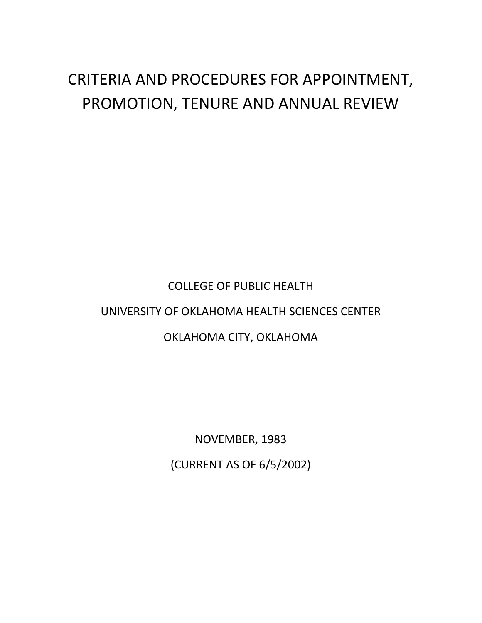## CRITERIA AND PROCEDURES FOR APPOINTMENT, PROMOTION, TENURE AND ANNUAL REVIEW

# COLLEGE OF PUBLIC HEALTH UNIVERSITY OF OKLAHOMA HEALTH SCIENCES CENTER OKLAHOMA CITY, OKLAHOMA

NOVEMBER, 1983 (CURRENT AS OF 6/5/2002)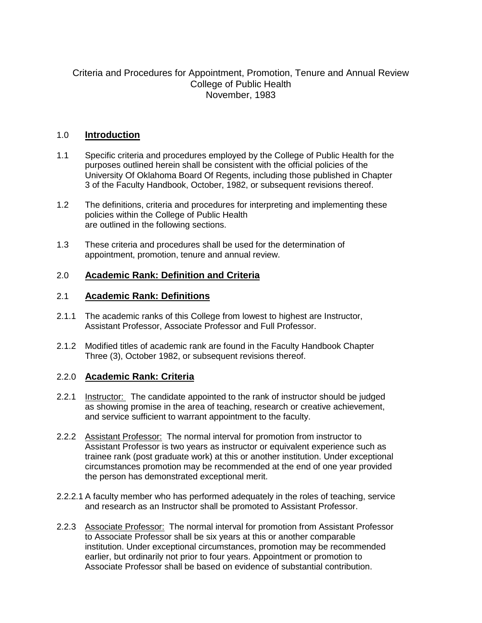## Criteria and Procedures for Appointment, Promotion, Tenure and Annual Review College of Public Health November, 1983

## 1.0 **Introduction**

- 1.1 Specific criteria and procedures employed by the College of Public Health for the purposes outlined herein shall be consistent with the official policies of the University Of Oklahoma Board Of Regents, including those published in Chapter 3 of the Faculty Handbook, October, 1982, or subsequent revisions thereof.
- 1.2 The definitions, criteria and procedures for interpreting and implementing these policies within the College of Public Health are outlined in the following sections.
- 1.3 These criteria and procedures shall be used for the determination of appointment, promotion, tenure and annual review.

## 2.0 **Academic Rank: Definition and Criteria**

## 2.1 **Academic Rank: Definitions**

- 2.1.1 The academic ranks of this College from lowest to highest are Instructor, Assistant Professor, Associate Professor and Full Professor.
- 2.1.2 Modified titles of academic rank are found in the Faculty Handbook Chapter Three (3), October 1982, or subsequent revisions thereof.

## 2.2.0 **Academic Rank: Criteria**

- 2.2.1 Instructor: The candidate appointed to the rank of instructor should be judged as showing promise in the area of teaching, research or creative achievement, and service sufficient to warrant appointment to the faculty.
- 2.2.2 Assistant Professor: The normal interval for promotion from instructor to Assistant Professor is two years as instructor or equivalent experience such as trainee rank (post graduate work) at this or another institution. Under exceptional circumstances promotion may be recommended at the end of one year provided the person has demonstrated exceptional merit.
- 2.2.2.1 A faculty member who has performed adequately in the roles of teaching, service and research as an Instructor shall be promoted to Assistant Professor.
- 2.2.3 Associate Professor: The normal interval for promotion from Assistant Professor to Associate Professor shall be six years at this or another comparable institution. Under exceptional circumstances, promotion may be recommended earlier, but ordinarily not prior to four years. Appointment or promotion to Associate Professor shall be based on evidence of substantial contribution.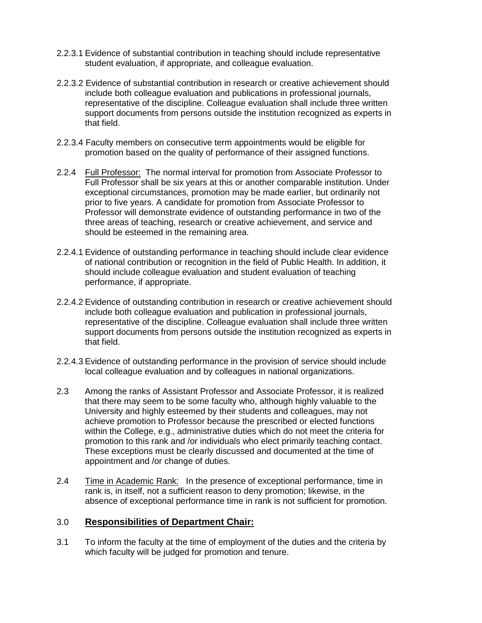- 2.2.3.1 Evidence of substantial contribution in teaching should include representative student evaluation, if appropriate, and colleague evaluation.
- 2.2.3.2 Evidence of substantial contribution in research or creative achievement should include both colleague evaluation and publications in professional journals, representative of the discipline. Colleague evaluation shall include three written support documents from persons outside the institution recognized as experts in that field.
- 2.2.3.4 Faculty members on consecutive term appointments would be eligible for promotion based on the quality of performance of their assigned functions.
- 2.2.4 Full Professor: The normal interval for promotion from Associate Professor to Full Professor shall be six years at this or another comparable institution. Under exceptional circumstances, promotion may be made earlier, but ordinarily not prior to five years. A candidate for promotion from Associate Professor to Professor will demonstrate evidence of outstanding performance in two of the three areas of teaching, research or creative achievement, and service and should be esteemed in the remaining area.
- 2.2.4.1 Evidence of outstanding performance in teaching should include clear evidence of national contribution or recognition in the field of Public Health. In addition, it should include colleague evaluation and student evaluation of teaching performance, if appropriate.
- 2.2.4.2 Evidence of outstanding contribution in research or creative achievement should include both colleague evaluation and publication in professional journals, representative of the discipline. Colleague evaluation shall include three written support documents from persons outside the institution recognized as experts in that field.
- 2.2.4.3 Evidence of outstanding performance in the provision of service should include local colleague evaluation and by colleagues in national organizations.
- 2.3 Among the ranks of Assistant Professor and Associate Professor, it is realized that there may seem to be some faculty who, although highly valuable to the University and highly esteemed by their students and colleagues, may not achieve promotion to Professor because the prescribed or elected functions within the College, e.g., administrative duties which do not meet the criteria for promotion to this rank and /or individuals who elect primarily teaching contact. These exceptions must be clearly discussed and documented at the time of appointment and /or change of duties.
- 2.4 Time in Academic Rank: In the presence of exceptional performance, time in rank is, in itself, not a sufficient reason to deny promotion; likewise, in the absence of exceptional performance time in rank is not sufficient for promotion.

## 3.0 **Responsibilities of Department Chair:**

3.1 To inform the faculty at the time of employment of the duties and the criteria by which faculty will be judged for promotion and tenure.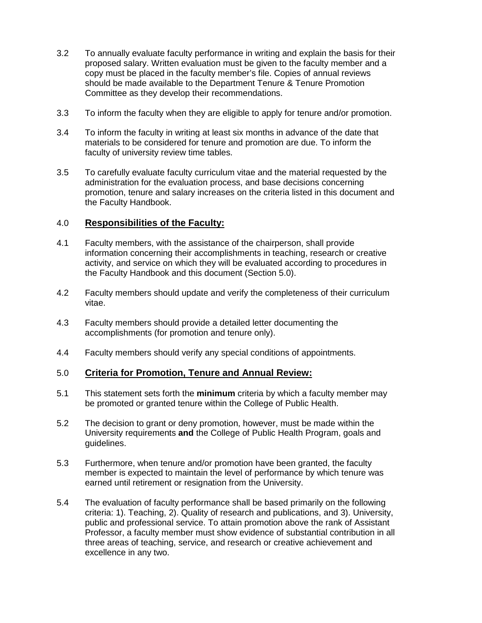- 3.2 To annually evaluate faculty performance in writing and explain the basis for their proposed salary. Written evaluation must be given to the faculty member and a copy must be placed in the faculty member's file. Copies of annual reviews should be made available to the Department Tenure & Tenure Promotion Committee as they develop their recommendations.
- 3.3 To inform the faculty when they are eligible to apply for tenure and/or promotion.
- 3.4 To inform the faculty in writing at least six months in advance of the date that materials to be considered for tenure and promotion are due. To inform the faculty of university review time tables.
- 3.5 To carefully evaluate faculty curriculum vitae and the material requested by the administration for the evaluation process, and base decisions concerning promotion, tenure and salary increases on the criteria listed in this document and the Faculty Handbook.

## 4.0 **Responsibilities of the Faculty:**

- 4.1 Faculty members, with the assistance of the chairperson, shall provide information concerning their accomplishments in teaching, research or creative activity, and service on which they will be evaluated according to procedures in the Faculty Handbook and this document (Section 5.0).
- 4.2 Faculty members should update and verify the completeness of their curriculum vitae.
- 4.3 Faculty members should provide a detailed letter documenting the accomplishments (for promotion and tenure only).
- 4.4 Faculty members should verify any special conditions of appointments.

## 5.0 **Criteria for Promotion, Tenure and Annual Review:**

- 5.1 This statement sets forth the **minimum** criteria by which a faculty member may be promoted or granted tenure within the College of Public Health.
- 5.2 The decision to grant or deny promotion, however, must be made within the University requirements **and** the College of Public Health Program, goals and guidelines.
- 5.3 Furthermore, when tenure and/or promotion have been granted, the faculty member is expected to maintain the level of performance by which tenure was earned until retirement or resignation from the University.
- 5.4 The evaluation of faculty performance shall be based primarily on the following criteria: 1). Teaching, 2). Quality of research and publications, and 3). University, public and professional service. To attain promotion above the rank of Assistant Professor, a faculty member must show evidence of substantial contribution in all three areas of teaching, service, and research or creative achievement and excellence in any two.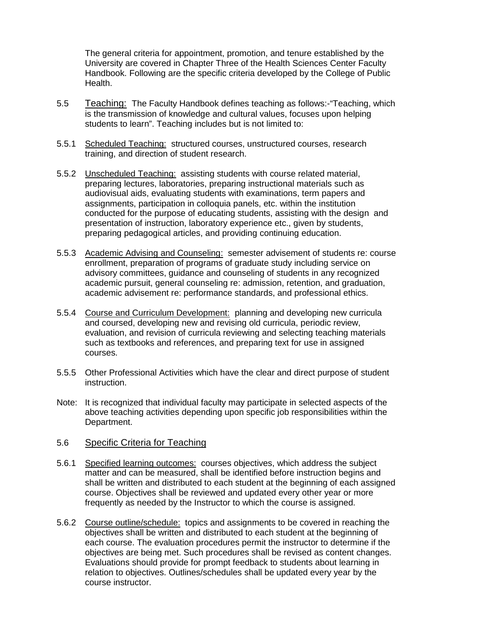The general criteria for appointment, promotion, and tenure established by the University are covered in Chapter Three of the Health Sciences Center Faculty Handbook. Following are the specific criteria developed by the College of Public Health.

- 5.5 Teaching: The Faculty Handbook defines teaching as follows:-"Teaching, which is the transmission of knowledge and cultural values, focuses upon helping students to learn". Teaching includes but is not limited to:
- 5.5.1 Scheduled Teaching: structured courses, unstructured courses, research training, and direction of student research.
- 5.5.2 Unscheduled Teaching: assisting students with course related material, preparing lectures, laboratories, preparing instructional materials such as audiovisual aids, evaluating students with examinations, term papers and assignments, participation in colloquia panels, etc. within the institution conducted for the purpose of educating students, assisting with the design and presentation of instruction, laboratory experience etc., given by students, preparing pedagogical articles, and providing continuing education.
- 5.5.3 Academic Advising and Counseling: semester advisement of students re: course enrollment, preparation of programs of graduate study including service on advisory committees, guidance and counseling of students in any recognized academic pursuit, general counseling re: admission, retention, and graduation, academic advisement re: performance standards, and professional ethics.
- 5.5.4 Course and Curriculum Development: planning and developing new curricula and coursed, developing new and revising old curricula, periodic review, evaluation, and revision of curricula reviewing and selecting teaching materials such as textbooks and references, and preparing text for use in assigned courses.
- 5.5.5 Other Professional Activities which have the clear and direct purpose of student instruction.
- Note: It is recognized that individual faculty may participate in selected aspects of the above teaching activities depending upon specific job responsibilities within the Department.

#### 5.6 Specific Criteria for Teaching

- 5.6.1 Specified learning outcomes: courses objectives, which address the subject matter and can be measured, shall be identified before instruction begins and shall be written and distributed to each student at the beginning of each assigned course. Objectives shall be reviewed and updated every other year or more frequently as needed by the Instructor to which the course is assigned.
- 5.6.2 Course outline/schedule: topics and assignments to be covered in reaching the objectives shall be written and distributed to each student at the beginning of each course. The evaluation procedures permit the instructor to determine if the objectives are being met. Such procedures shall be revised as content changes. Evaluations should provide for prompt feedback to students about learning in relation to objectives. Outlines/schedules shall be updated every year by the course instructor.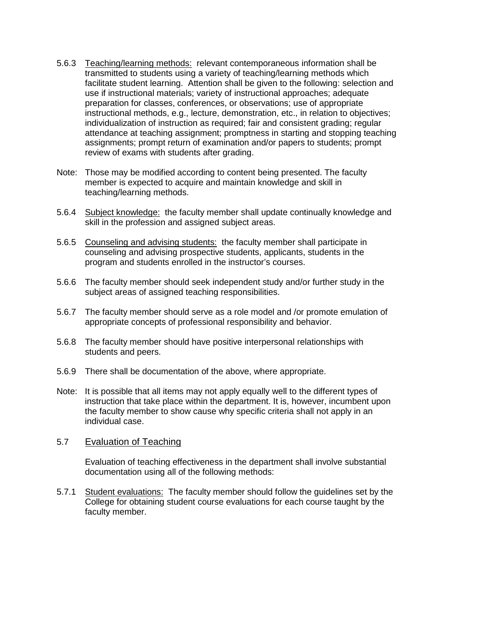- 5.6.3 Teaching/learning methods: relevant contemporaneous information shall be transmitted to students using a variety of teaching/learning methods which facilitate student learning. Attention shall be given to the following: selection and use if instructional materials; variety of instructional approaches; adequate preparation for classes, conferences, or observations; use of appropriate instructional methods, e.g., lecture, demonstration, etc., in relation to objectives; individualization of instruction as required; fair and consistent grading; regular attendance at teaching assignment; promptness in starting and stopping teaching assignments; prompt return of examination and/or papers to students; prompt review of exams with students after grading.
- Note: Those may be modified according to content being presented. The faculty member is expected to acquire and maintain knowledge and skill in teaching/learning methods.
- 5.6.4 Subject knowledge: the faculty member shall update continually knowledge and skill in the profession and assigned subject areas.
- 5.6.5 Counseling and advising students: the faculty member shall participate in counseling and advising prospective students, applicants, students in the program and students enrolled in the instructor's courses.
- 5.6.6 The faculty member should seek independent study and/or further study in the subject areas of assigned teaching responsibilities.
- 5.6.7 The faculty member should serve as a role model and /or promote emulation of appropriate concepts of professional responsibility and behavior.
- 5.6.8 The faculty member should have positive interpersonal relationships with students and peers.
- 5.6.9 There shall be documentation of the above, where appropriate.
- Note: It is possible that all items may not apply equally well to the different types of instruction that take place within the department. It is, however, incumbent upon the faculty member to show cause why specific criteria shall not apply in an individual case.

#### 5.7 Evaluation of Teaching

Evaluation of teaching effectiveness in the department shall involve substantial documentation using all of the following methods:

5.7.1 Student evaluations: The faculty member should follow the guidelines set by the College for obtaining student course evaluations for each course taught by the faculty member.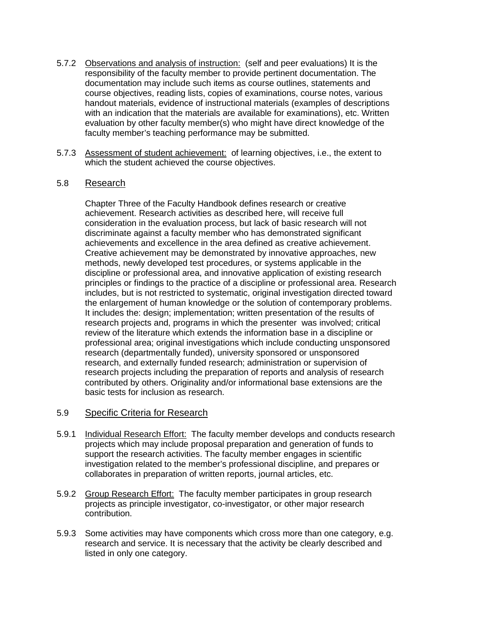- 5.7.2 Observations and analysis of instruction: (self and peer evaluations) It is the responsibility of the faculty member to provide pertinent documentation. The documentation may include such items as course outlines, statements and course objectives, reading lists, copies of examinations, course notes, various handout materials, evidence of instructional materials (examples of descriptions with an indication that the materials are available for examinations), etc. Written evaluation by other faculty member(s) who might have direct knowledge of the faculty member's teaching performance may be submitted.
- 5.7.3 Assessment of student achievement: of learning objectives, i.e., the extent to which the student achieved the course objectives.

#### 5.8 Research

Chapter Three of the Faculty Handbook defines research or creative achievement. Research activities as described here, will receive full consideration in the evaluation process, but lack of basic research will not discriminate against a faculty member who has demonstrated significant achievements and excellence in the area defined as creative achievement. Creative achievement may be demonstrated by innovative approaches, new methods, newly developed test procedures, or systems applicable in the discipline or professional area, and innovative application of existing research principles or findings to the practice of a discipline or professional area. Research includes, but is not restricted to systematic, original investigation directed toward the enlargement of human knowledge or the solution of contemporary problems. It includes the: design; implementation; written presentation of the results of research projects and, programs in which the presenter was involved; critical review of the literature which extends the information base in a discipline or professional area; original investigations which include conducting unsponsored research (departmentally funded), university sponsored or unsponsored research, and externally funded research; administration or supervision of research projects including the preparation of reports and analysis of research contributed by others. Originality and/or informational base extensions are the basic tests for inclusion as research.

## 5.9 Specific Criteria for Research

- 5.9.1 Individual Research Effort: The faculty member develops and conducts research projects which may include proposal preparation and generation of funds to support the research activities. The faculty member engages in scientific investigation related to the member's professional discipline, and prepares or collaborates in preparation of written reports, journal articles, etc.
- 5.9.2 Group Research Effort: The faculty member participates in group research projects as principle investigator, co-investigator, or other major research contribution.
- 5.9.3 Some activities may have components which cross more than one category, e.g. research and service. It is necessary that the activity be clearly described and listed in only one category.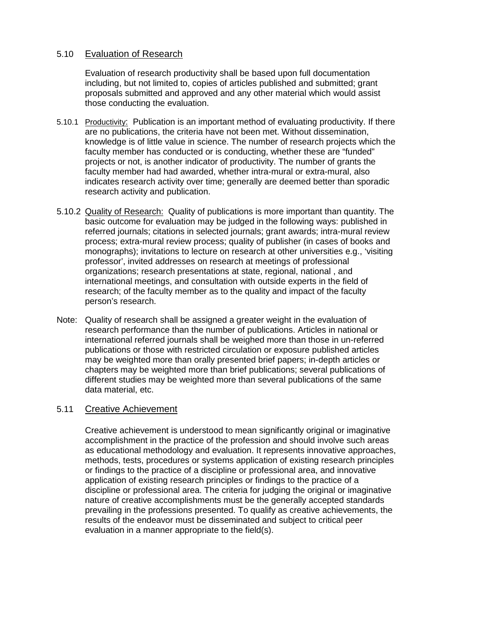## 5.10 Evaluation of Research

Evaluation of research productivity shall be based upon full documentation including, but not limited to, copies of articles published and submitted; grant proposals submitted and approved and any other material which would assist those conducting the evaluation.

- 5.10.1 Productivity: Publication is an important method of evaluating productivity. If there are no publications, the criteria have not been met. Without dissemination, knowledge is of little value in science. The number of research projects which the faculty member has conducted or is conducting, whether these are "funded" projects or not, is another indicator of productivity. The number of grants the faculty member had had awarded, whether intra-mural or extra-mural, also indicates research activity over time; generally are deemed better than sporadic research activity and publication.
- 5.10.2 Quality of Research: Quality of publications is more important than quantity. The basic outcome for evaluation may be judged in the following ways: published in referred journals; citations in selected journals; grant awards; intra-mural review process; extra-mural review process; quality of publisher (in cases of books and monographs); invitations to lecture on research at other universities e.g., 'visiting professor', invited addresses on research at meetings of professional organizations; research presentations at state, regional, national , and international meetings, and consultation with outside experts in the field of research; of the faculty member as to the quality and impact of the faculty person's research.
- Note: Quality of research shall be assigned a greater weight in the evaluation of research performance than the number of publications. Articles in national or international referred journals shall be weighed more than those in un-referred publications or those with restricted circulation or exposure published articles may be weighted more than orally presented brief papers; in-depth articles or chapters may be weighted more than brief publications; several publications of different studies may be weighted more than several publications of the same data material, etc.

#### 5.11 Creative Achievement

Creative achievement is understood to mean significantly original or imaginative accomplishment in the practice of the profession and should involve such areas as educational methodology and evaluation. It represents innovative approaches, methods, tests, procedures or systems application of existing research principles or findings to the practice of a discipline or professional area, and innovative application of existing research principles or findings to the practice of a discipline or professional area. The criteria for judging the original or imaginative nature of creative accomplishments must be the generally accepted standards prevailing in the professions presented. To qualify as creative achievements, the results of the endeavor must be disseminated and subject to critical peer evaluation in a manner appropriate to the field(s).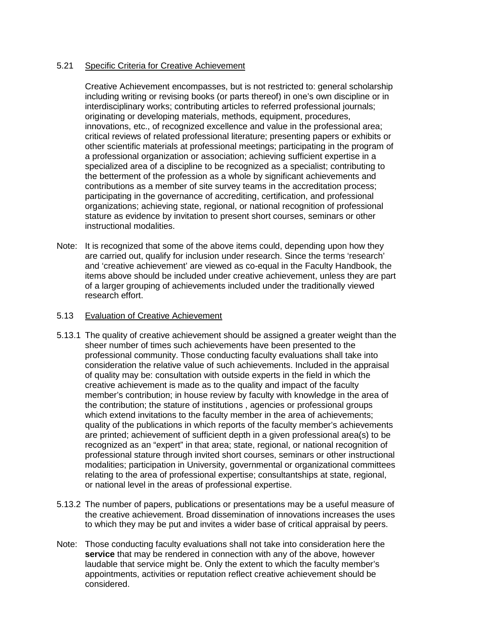#### 5.21 Specific Criteria for Creative Achievement

Creative Achievement encompasses, but is not restricted to: general scholarship including writing or revising books (or parts thereof) in one's own discipline or in interdisciplinary works; contributing articles to referred professional journals; originating or developing materials, methods, equipment, procedures, innovations, etc., of recognized excellence and value in the professional area; critical reviews of related professional literature; presenting papers or exhibits or other scientific materials at professional meetings; participating in the program of a professional organization or association; achieving sufficient expertise in a specialized area of a discipline to be recognized as a specialist; contributing to the betterment of the profession as a whole by significant achievements and contributions as a member of site survey teams in the accreditation process; participating in the governance of accrediting, certification, and professional organizations; achieving state, regional, or national recognition of professional stature as evidence by invitation to present short courses, seminars or other instructional modalities.

Note: It is recognized that some of the above items could, depending upon how they are carried out, qualify for inclusion under research. Since the terms 'research' and 'creative achievement' are viewed as co-equal in the Faculty Handbook, the items above should be included under creative achievement, unless they are part of a larger grouping of achievements included under the traditionally viewed research effort.

#### 5.13 Evaluation of Creative Achievement

- 5.13.1 The quality of creative achievement should be assigned a greater weight than the sheer number of times such achievements have been presented to the professional community. Those conducting faculty evaluations shall take into consideration the relative value of such achievements. Included in the appraisal of quality may be: consultation with outside experts in the field in which the creative achievement is made as to the quality and impact of the faculty member's contribution; in house review by faculty with knowledge in the area of the contribution; the stature of institutions , agencies or professional groups which extend invitations to the faculty member in the area of achievements; quality of the publications in which reports of the faculty member's achievements are printed; achievement of sufficient depth in a given professional area(s) to be recognized as an "expert" in that area; state, regional, or national recognition of professional stature through invited short courses, seminars or other instructional modalities; participation in University, governmental or organizational committees relating to the area of professional expertise; consultantships at state, regional, or national level in the areas of professional expertise.
- 5.13.2 The number of papers, publications or presentations may be a useful measure of the creative achievement. Broad dissemination of innovations increases the uses to which they may be put and invites a wider base of critical appraisal by peers.
- Note: Those conducting faculty evaluations shall not take into consideration here the **service** that may be rendered in connection with any of the above, however laudable that service might be. Only the extent to which the faculty member's appointments, activities or reputation reflect creative achievement should be considered.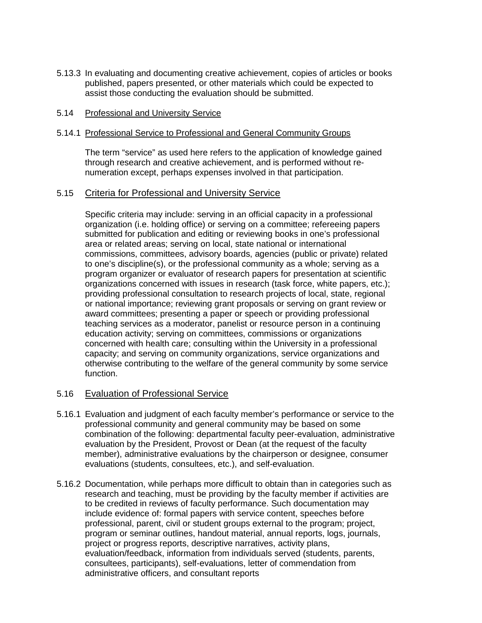5.13.3 In evaluating and documenting creative achievement, copies of articles or books published, papers presented, or other materials which could be expected to assist those conducting the evaluation should be submitted.

#### 5.14 Professional and University Service

#### 5.14.1 Professional Service to Professional and General Community Groups

The term "service" as used here refers to the application of knowledge gained through research and creative achievement, and is performed without renumeration except, perhaps expenses involved in that participation.

#### 5.15 Criteria for Professional and University Service

Specific criteria may include: serving in an official capacity in a professional organization (i.e. holding office) or serving on a committee; refereeing papers submitted for publication and editing or reviewing books in one's professional area or related areas; serving on local, state national or international commissions, committees, advisory boards, agencies (public or private) related to one's discipline(s), or the professional community as a whole; serving as a program organizer or evaluator of research papers for presentation at scientific organizations concerned with issues in research (task force, white papers, etc.); providing professional consultation to research projects of local, state, regional or national importance; reviewing grant proposals or serving on grant review or award committees; presenting a paper or speech or providing professional teaching services as a moderator, panelist or resource person in a continuing education activity; serving on committees, commissions or organizations concerned with health care; consulting within the University in a professional capacity; and serving on community organizations, service organizations and otherwise contributing to the welfare of the general community by some service function.

## 5.16 Evaluation of Professional Service

- 5.16.1 Evaluation and judgment of each faculty member's performance or service to the professional community and general community may be based on some combination of the following: departmental faculty peer-evaluation, administrative evaluation by the President, Provost or Dean (at the request of the faculty member), administrative evaluations by the chairperson or designee, consumer evaluations (students, consultees, etc.), and self-evaluation.
- 5.16.2 Documentation, while perhaps more difficult to obtain than in categories such as research and teaching, must be providing by the faculty member if activities are to be credited in reviews of faculty performance. Such documentation may include evidence of: formal papers with service content, speeches before professional, parent, civil or student groups external to the program; project, program or seminar outlines, handout material, annual reports, logs, journals, project or progress reports, descriptive narratives, activity plans, evaluation/feedback, information from individuals served (students, parents, consultees, participants), self-evaluations, letter of commendation from administrative officers, and consultant reports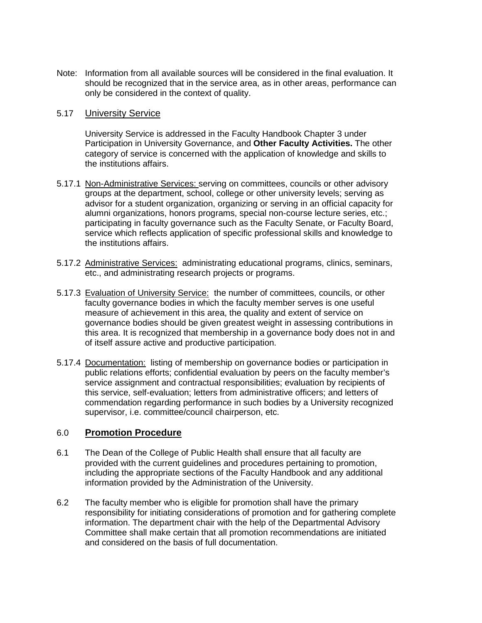Note: Information from all available sources will be considered in the final evaluation. It should be recognized that in the service area, as in other areas, performance can only be considered in the context of quality.

#### 5.17 University Service

University Service is addressed in the Faculty Handbook Chapter 3 under Participation in University Governance, and **Other Faculty Activities.** The other category of service is concerned with the application of knowledge and skills to the institutions affairs.

- 5.17.1 Non-Administrative Services: serving on committees, councils or other advisory groups at the department, school, college or other university levels; serving as advisor for a student organization, organizing or serving in an official capacity for alumni organizations, honors programs, special non-course lecture series, etc.; participating in faculty governance such as the Faculty Senate, or Faculty Board, service which reflects application of specific professional skills and knowledge to the institutions affairs.
- 5.17.2 Administrative Services: administrating educational programs, clinics, seminars, etc., and administrating research projects or programs.
- 5.17.3 Evaluation of University Service: the number of committees, councils, or other faculty governance bodies in which the faculty member serves is one useful measure of achievement in this area, the quality and extent of service on governance bodies should be given greatest weight in assessing contributions in this area. It is recognized that membership in a governance body does not in and of itself assure active and productive participation.
- 5.17.4 Documentation: listing of membership on governance bodies or participation in public relations efforts; confidential evaluation by peers on the faculty member's service assignment and contractual responsibilities; evaluation by recipients of this service, self-evaluation; letters from administrative officers; and letters of commendation regarding performance in such bodies by a University recognized supervisor, i.e. committee/council chairperson, etc.

## 6.0 **Promotion Procedure**

- 6.1 The Dean of the College of Public Health shall ensure that all faculty are provided with the current guidelines and procedures pertaining to promotion, including the appropriate sections of the Faculty Handbook and any additional information provided by the Administration of the University.
- 6.2 The faculty member who is eligible for promotion shall have the primary responsibility for initiating considerations of promotion and for gathering complete information. The department chair with the help of the Departmental Advisory Committee shall make certain that all promotion recommendations are initiated and considered on the basis of full documentation.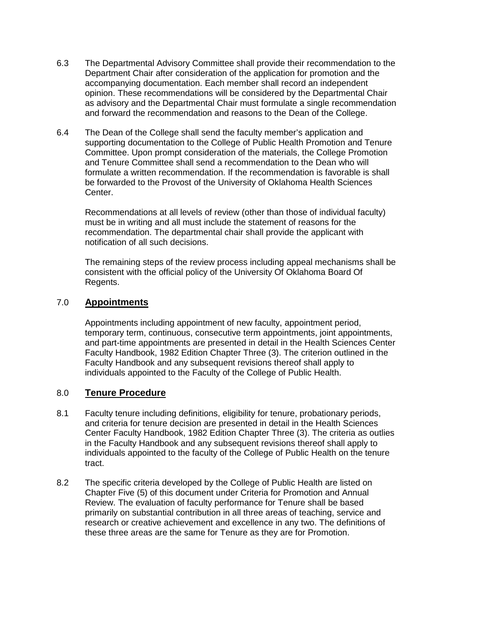- 6.3 The Departmental Advisory Committee shall provide their recommendation to the Department Chair after consideration of the application for promotion and the accompanying documentation. Each member shall record an independent opinion. These recommendations will be considered by the Departmental Chair as advisory and the Departmental Chair must formulate a single recommendation and forward the recommendation and reasons to the Dean of the College.
- 6.4 The Dean of the College shall send the faculty member's application and supporting documentation to the College of Public Health Promotion and Tenure Committee. Upon prompt consideration of the materials, the College Promotion and Tenure Committee shall send a recommendation to the Dean who will formulate a written recommendation. If the recommendation is favorable is shall be forwarded to the Provost of the University of Oklahoma Health Sciences Center.

Recommendations at all levels of review (other than those of individual faculty) must be in writing and all must include the statement of reasons for the recommendation. The departmental chair shall provide the applicant with notification of all such decisions.

The remaining steps of the review process including appeal mechanisms shall be consistent with the official policy of the University Of Oklahoma Board Of Regents.

## 7.0 **Appointments**

Appointments including appointment of new faculty, appointment period, temporary term, continuous, consecutive term appointments, joint appointments, and part-time appointments are presented in detail in the Health Sciences Center Faculty Handbook, 1982 Edition Chapter Three (3). The criterion outlined in the Faculty Handbook and any subsequent revisions thereof shall apply to individuals appointed to the Faculty of the College of Public Health.

## 8.0 **Tenure Procedure**

- 8.1 Faculty tenure including definitions, eligibility for tenure, probationary periods, and criteria for tenure decision are presented in detail in the Health Sciences Center Faculty Handbook, 1982 Edition Chapter Three (3). The criteria as outlies in the Faculty Handbook and any subsequent revisions thereof shall apply to individuals appointed to the faculty of the College of Public Health on the tenure tract.
- 8.2 The specific criteria developed by the College of Public Health are listed on Chapter Five (5) of this document under Criteria for Promotion and Annual Review. The evaluation of faculty performance for Tenure shall be based primarily on substantial contribution in all three areas of teaching, service and research or creative achievement and excellence in any two. The definitions of these three areas are the same for Tenure as they are for Promotion.